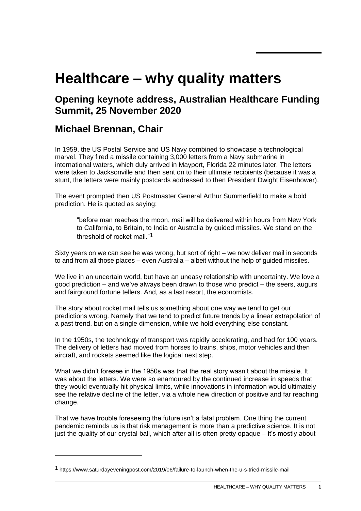## **Healthcare – why quality matters**

## **Opening keynote address, Australian Healthcare Funding Summit, 25 November 2020**

## **Michael Brennan, Chair**

In 1959, the US Postal Service and US Navy combined to showcase a technological marvel. They fired a missile containing 3,000 letters from a Navy submarine in international waters, which duly arrived in Mayport, Florida 22 minutes later. The letters were taken to Jacksonville and then sent on to their ultimate recipients (because it was a stunt, the letters were mainly postcards addressed to then President Dwight Eisenhower).

The event prompted then US Postmaster General Arthur Summerfield to make a bold prediction. He is quoted as saying:

"before man reaches the moon, mail will be delivered within hours from New York to California, to Britain, to India or Australia by guided missiles. We stand on the threshold of rocket mail."1

Sixty years on we can see he was wrong, but sort of right – we now deliver mail in seconds to and from all those places – even Australia – albeit without the help of guided missiles.

We live in an uncertain world, but have an uneasy relationship with uncertainty. We love a good prediction – and we've always been drawn to those who predict – the seers, augurs and fairground fortune tellers. And, as a last resort, the economists.

The story about rocket mail tells us something about one way we tend to get our predictions wrong. Namely that we tend to predict future trends by a linear extrapolation of a past trend, but on a single dimension, while we hold everything else constant.

In the 1950s, the technology of transport was rapidly accelerating, and had for 100 years. The delivery of letters had moved from horses to trains, ships, motor vehicles and then aircraft, and rockets seemed like the logical next step.

What we didn't foresee in the 1950s was that the real story wasn't about the missile. It was about the letters. We were so enamoured by the continued increase in speeds that they would eventually hit physical limits, while innovations in information would ultimately see the relative decline of the letter, via a whole new direction of positive and far reaching change.

That we have trouble foreseeing the future isn't a fatal problem. One thing the current pandemic reminds us is that risk management is more than a predictive science. It is not just the quality of our crystal ball, which after all is often pretty opaque – it's mostly about

<sup>1</sup> https://www.saturdayeveningpost.com/2019/06/failure-to-launch-when-the-u-s-tried-missile-mail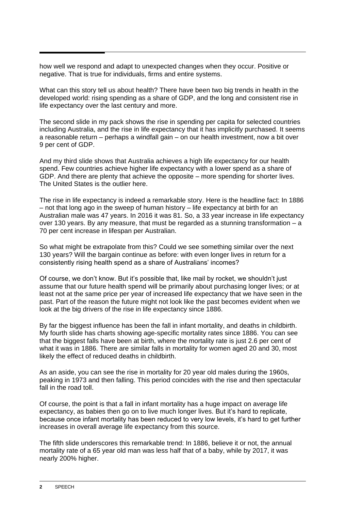how well we respond and adapt to unexpected changes when they occur. Positive or negative. That is true for individuals, firms and entire systems.

What can this story tell us about health? There have been two big trends in health in the developed world: rising spending as a share of GDP, and the long and consistent rise in life expectancy over the last century and more.

The second slide in my pack shows the rise in spending per capita for selected countries including Australia, and the rise in life expectancy that it has implicitly purchased. It seems a reasonable return – perhaps a windfall gain – on our health investment, now a bit over 9 per cent of GDP.

And my third slide shows that Australia achieves a high life expectancy for our health spend. Few countries achieve higher life expectancy with a lower spend as a share of GDP. And there are plenty that achieve the opposite – more spending for shorter lives. The United States is the outlier here.

The rise in life expectancy is indeed a remarkable story. Here is the headline fact: In 1886 – not that long ago in the sweep of human history – life expectancy at birth for an Australian male was 47 years. In 2016 it was 81. So, a 33 year increase in life expectancy over 130 years. By any measure, that must be regarded as a stunning transformation  $-a$ 70 per cent increase in lifespan per Australian.

So what might be extrapolate from this? Could we see something similar over the next 130 years? Will the bargain continue as before: with even longer lives in return for a consistently rising health spend as a share of Australians' incomes?

Of course, we don't know. But it's possible that, like mail by rocket, we shouldn't just assume that our future health spend will be primarily about purchasing longer lives; or at least not at the same price per year of increased life expectancy that we have seen in the past. Part of the reason the future might not look like the past becomes evident when we look at the big drivers of the rise in life expectancy since 1886.

By far the biggest influence has been the fall in infant mortality, and deaths in childbirth. My fourth slide has charts showing age-specific mortality rates since 1886. You can see that the biggest falls have been at birth, where the mortality rate is just 2.6 per cent of what it was in 1886. There are similar falls in mortality for women aged 20 and 30, most likely the effect of reduced deaths in childbirth.

As an aside, you can see the rise in mortality for 20 year old males during the 1960s, peaking in 1973 and then falling. This period coincides with the rise and then spectacular fall in the road toll.

Of course, the point is that a fall in infant mortality has a huge impact on average life expectancy, as babies then go on to live much longer lives. But it's hard to replicate, because once infant mortality has been reduced to very low levels, it's hard to get further increases in overall average life expectancy from this source.

The fifth slide underscores this remarkable trend: In 1886, believe it or not, the annual mortality rate of a 65 year old man was less half that of a baby, while by 2017, it was nearly 200% higher.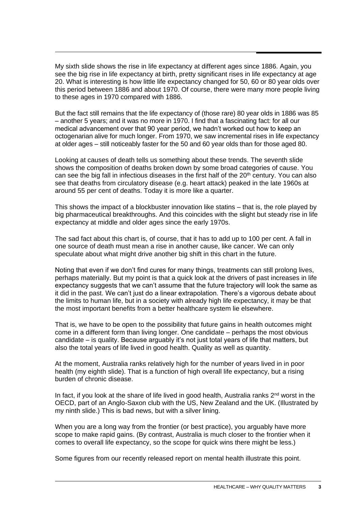My sixth slide shows the rise in life expectancy at different ages since 1886. Again, you see the big rise in life expectancy at birth, pretty significant rises in life expectancy at age 20. What is interesting is how little life expectancy changed for 50, 60 or 80 year olds over this period between 1886 and about 1970. Of course, there were many more people living to these ages in 1970 compared with 1886.

But the fact still remains that the life expectancy of (those rare) 80 year olds in 1886 was 85 – another 5 years; and it was no more in 1970. I find that a fascinating fact: for all our medical advancement over that 90 year period, we hadn't worked out how to keep an octogenarian alive for much longer. From 1970, we saw incremental rises in life expectancy at older ages – still noticeably faster for the 50 and 60 year olds than for those aged 80.

Looking at causes of death tells us something about these trends. The seventh slide shows the composition of deaths broken down by some broad categories of cause. You can see the big fall in infectious diseases in the first half of the  $20<sup>th</sup>$  century. You can also see that deaths from circulatory disease (e.g. heart attack) peaked in the late 1960s at around 55 per cent of deaths. Today it is more like a quarter.

This shows the impact of a blockbuster innovation like statins – that is, the role played by big pharmaceutical breakthroughs. And this coincides with the slight but steady rise in life expectancy at middle and older ages since the early 1970s.

The sad fact about this chart is, of course, that it has to add up to 100 per cent. A fall in one source of death must mean a rise in another cause, like cancer. We can only speculate about what might drive another big shift in this chart in the future.

Noting that even if we don't find cures for many things, treatments can still prolong lives, perhaps materially. But my point is that a quick look at the drivers of past increases in life expectancy suggests that we can't assume that the future trajectory will look the same as it did in the past. We can't just do a linear extrapolation. There's a vigorous debate about the limits to human life, but in a society with already high life expectancy, it may be that the most important benefits from a better healthcare system lie elsewhere.

That is, we have to be open to the possibility that future gains in health outcomes might come in a different form than living longer. One candidate – perhaps the most obvious candidate – is quality. Because arguably it's not just total years of life that matters, but also the total years of life lived in good health. Quality as well as quantity.

At the moment, Australia ranks relatively high for the number of years lived in in poor health (my eighth slide). That is a function of high overall life expectancy, but a rising burden of chronic disease.

In fact, if you look at the share of life lived in good health, Australia ranks  $2<sup>nd</sup>$  worst in the OECD, part of an Anglo-Saxon club with the US, New Zealand and the UK. (Illustrated by my ninth slide.) This is bad news, but with a silver lining.

When you are a long way from the frontier (or best practice), you arguably have more scope to make rapid gains. (By contrast, Australia is much closer to the frontier when it comes to overall life expectancy, so the scope for quick wins there might be less.)

Some figures from our recently released report on mental health illustrate this point.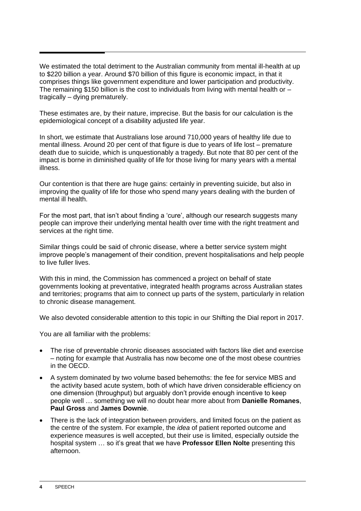We estimated the total detriment to the Australian community from mental ill-health at up to \$220 billion a year. Around \$70 billion of this figure is economic impact, in that it comprises things like government expenditure and lower participation and productivity. The remaining \$150 billion is the cost to individuals from living with mental health or  $$ tragically – dying prematurely.

These estimates are, by their nature, imprecise. But the basis for our calculation is the epidemiological concept of a disability adjusted life year.

In short, we estimate that Australians lose around 710,000 years of healthy life due to mental illness. Around 20 per cent of that figure is due to years of life lost – premature death due to suicide, which is unquestionably a tragedy. But note that 80 per cent of the impact is borne in diminished quality of life for those living for many years with a mental illness.

Our contention is that there are huge gains: certainly in preventing suicide, but also in improving the quality of life for those who spend many years dealing with the burden of mental ill health.

For the most part, that isn't about finding a 'cure', although our research suggests many people can improve their underlying mental health over time with the right treatment and services at the right time.

Similar things could be said of chronic disease, where a better service system might improve people's management of their condition, prevent hospitalisations and help people to live fuller lives.

With this in mind, the Commission has commenced a project on behalf of state governments looking at preventative, integrated health programs across Australian states and territories; programs that aim to connect up parts of the system, particularly in relation to chronic disease management.

We also devoted considerable attention to this topic in our Shifting the Dial report in 2017.

You are all familiar with the problems:

- The rise of preventable chronic diseases associated with factors like diet and exercise – noting for example that Australia has now become one of the most obese countries in the OECD.
- A system dominated by two volume based behemoths: the fee for service MBS and the activity based acute system, both of which have driven considerable efficiency on one dimension (throughput) but arguably don't provide enough incentive to keep people well … something we will no doubt hear more about from **Danielle Romanes**, **Paul Gross** and **James Downie**.
- There is the lack of integration between providers, and limited focus on the patient as the centre of the system. For example, the *idea* of patient reported outcome and experience measures is well accepted, but their use is limited, especially outside the hospital system … so it's great that we have **Professor Ellen Nolte** presenting this afternoon.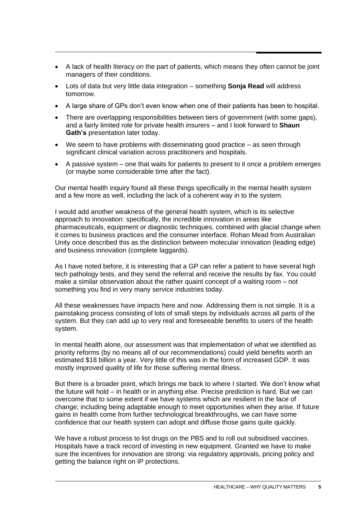- A lack of health literacy on the part of patients, which means they often cannot be joint managers of their conditions.
- Lots of data but very little data integration something **Sonja Read** will address tomorrow.
- A large share of GPs don't even know when one of their patients has been to hospital.
- There are overlapping responsibilities between tiers of government (with some gaps), and a fairly limited role for private health insurers – and I look forward to **Shaun Gath's** presentation later today.
- We seem to have problems with disseminating good practice as seen through significant clinical variation across practitioners and hospitals.
- A passive system one that waits for patients to present to it once a problem emerges (or maybe some considerable time after the fact).

Our mental health inquiry found all these things specifically in the mental health system and a few more as well, including the lack of a coherent way in to the system.

I would add another weakness of the general health system, which is its selective approach to innovation: specifically, the incredible innovation in areas like pharmaceuticals, equipment or diagnostic techniques, combined with glacial change when it comes to business practices and the consumer interface. Rohan Mead from Australian Unity once described this as the distinction between molecular innovation (leading edge) and business innovation (complete laggards).

As I have noted before, it is interesting that a GP can refer a patient to have several high tech pathology tests, and they send the referral and receive the results by fax. You could make a similar observation about the rather quaint concept of a waiting room – not something you find in very many service industries today.

All these weaknesses have impacts here and now. Addressing them is not simple. It is a painstaking process consisting of lots of small steps by individuals across all parts of the system. But they can add up to very real and foreseeable benefits to users of the health system.

In mental health alone, our assessment was that implementation of what we identified as priority reforms (by no means all of our recommendations) could yield benefits worth an estimated \$18 billion a year. Very little of this was in the form of increased GDP. It was mostly improved quality of life for those suffering mental illness.

But there is a broader point, which brings me back to where I started. We don't know what the future will hold – in health or in anything else. Precise prediction is hard. But we can overcome that to some extent if we have systems which are resilient in the face of change; including being adaptable enough to meet opportunities when they arise. If future gains in health come from further technological breakthroughs, we can have some confidence that our health system can adopt and diffuse those gains quite quickly.

We have a robust process to list drugs on the PBS and to roll out subsidised vaccines. Hospitals have a track record of investing in new equipment. Granted we have to make sure the incentives for innovation are strong: via regulatory approvals, pricing policy and getting the balance right on IP protections.